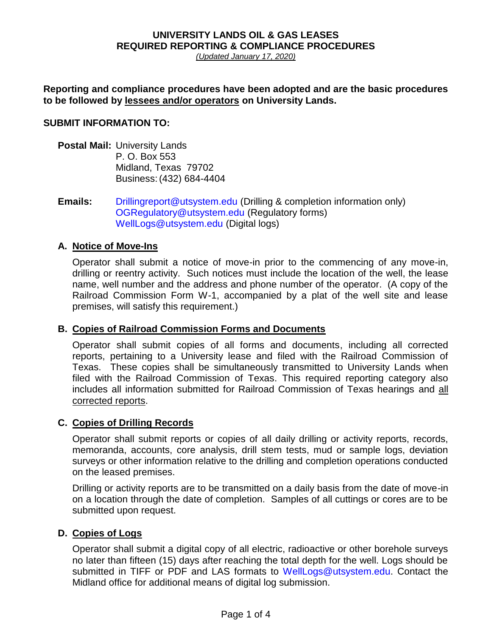# **UNIVERSITY LANDS OIL & GAS LEASES REQUIRED REPORTING & COMPLIANCE PROCEDURES**

*(Updated January 17, 2020)*

**Reporting and compliance procedures have been adopted and are the basic procedures to be followed by lessees and/or operators on University Lands.** 

### **SUBMIT INFORMATION TO:**

- **Postal Mail:** University Lands P. O. Box 553 Midland, Texas 79702 Business:(432) 684-4404
- **Emails:** [Drillingreport@utsystem.edu](mailto:Drillingreport@utsystem.edu) (Drilling & completion information only) [OGRegulatory@utsystem.edu](mailto:OGRegulatory@utsystem.edu) (Regulatory forms) [WellLogs@utsystem.edu](mailto:WellLogs@utsystem.edu) (Digital logs)

### **A. Notice of Move-Ins**

Operator shall submit a notice of move-in prior to the commencing of any move-in, drilling or reentry activity. Such notices must include the location of the well, the lease name, well number and the address and phone number of the operator. (A copy of the Railroad Commission Form W-1, accompanied by a plat of the well site and lease premises, will satisfy this requirement.)

### **B. Copies of Railroad Commission Forms and Documents**

Operator shall submit copies of all forms and documents, including all corrected reports, pertaining to a University lease and filed with the Railroad Commission of Texas. These copies shall be simultaneously transmitted to University Lands when filed with the Railroad Commission of Texas. This required reporting category also includes all information submitted for Railroad Commission of Texas hearings and all corrected reports.

### **C. Copies of Drilling Records**

Operator shall submit reports or copies of all daily drilling or activity reports, records, memoranda, accounts, core analysis, drill stem tests, mud or sample logs, deviation surveys or other information relative to the drilling and completion operations conducted on the leased premises.

Drilling or activity reports are to be transmitted on a daily basis from the date of move-in on a location through the date of completion. Samples of all cuttings or cores are to be submitted upon request.

### **D. Copies of Logs**

Operator shall submit a digital copy of all electric, radioactive or other borehole surveys no later than fifteen (15) days after reaching the total depth for the well. Logs should be submitted in TIFF or PDF and LAS formats to [WellLogs@utsystem.edu.](mailto:WellLogs@utsystem.edu) Contact the Midland office for additional means of digital log submission.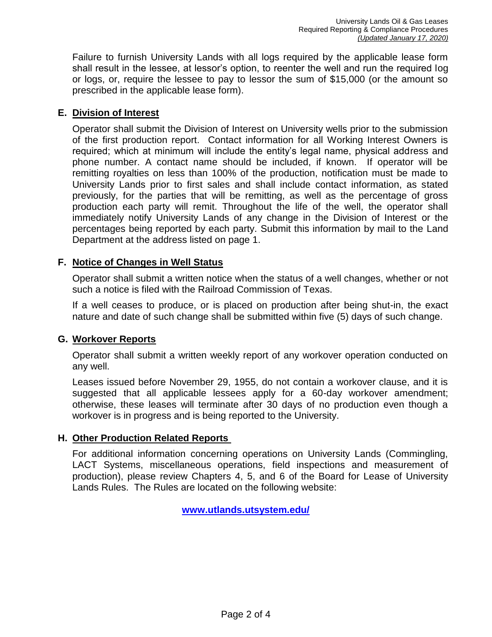Failure to furnish University Lands with all logs required by the applicable lease form shall result in the lessee, at lessor's option, to reenter the well and run the required log or logs, or, require the lessee to pay to lessor the sum of \$15,000 (or the amount so prescribed in the applicable lease form).

### **E. Division of Interest**

Operator shall submit the Division of Interest on University wells prior to the submission of the first production report. Contact information for all Working Interest Owners is required; which at minimum will include the entity's legal name, physical address and phone number. A contact name should be included, if known. If operator will be remitting royalties on less than 100% of the production, notification must be made to University Lands prior to first sales and shall include contact information, as stated previously, for the parties that will be remitting, as well as the percentage of gross production each party will remit. Throughout the life of the well, the operator shall immediately notify University Lands of any change in the Division of Interest or the percentages being reported by each party. Submit this information by mail to the Land Department at the address listed on page 1.

## **F. Notice of Changes in Well Status**

Operator shall submit a written notice when the status of a well changes, whether or not such a notice is filed with the Railroad Commission of Texas.

If a well ceases to produce, or is placed on production after being shut-in, the exact nature and date of such change shall be submitted within five (5) days of such change.

### **G. Workover Reports**

Operator shall submit a written weekly report of any workover operation conducted on any well.

Leases issued before November 29, 1955, do not contain a workover clause, and it is suggested that all applicable lessees apply for a 60-day workover amendment; otherwise, these leases will terminate after 30 days of no production even though a workover is in progress and is being reported to the University.

### **H. Other Production Related Reports**

For additional information concerning operations on University Lands (Commingling, LACT Systems, miscellaneous operations, field inspections and measurement of production), please review Chapters 4, 5, and 6 of the Board for Lease of University Lands Rules. The Rules are located on the following website:

**[www.utlands.utsystem.edu/](http://www.utlands.utsystem.edu/)**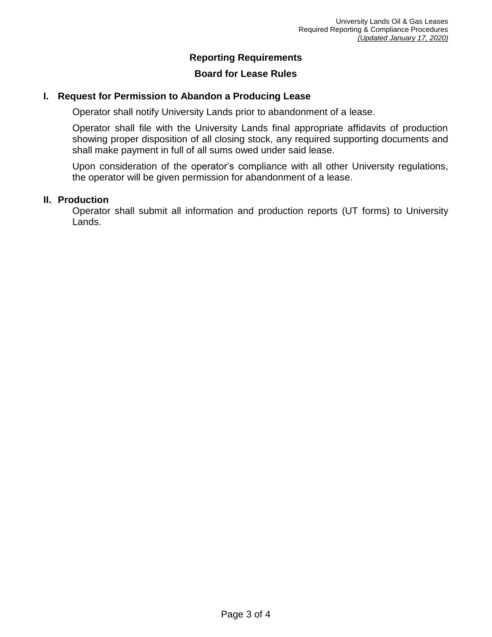## **Reporting Requirements**

### **Board for Lease Rules**

### **I. Request for Permission to Abandon a Producing Lease**

Operator shall notify University Lands prior to abandonment of a lease.

Operator shall file with the University Lands final appropriate affidavits of production showing proper disposition of all closing stock, any required supporting documents and shall make payment in full of all sums owed under said lease.

Upon consideration of the operator's compliance with all other University regulations, the operator will be given permission for abandonment of a lease.

### **II. Production**

Operator shall submit all information and production reports (UT forms) to University Lands.